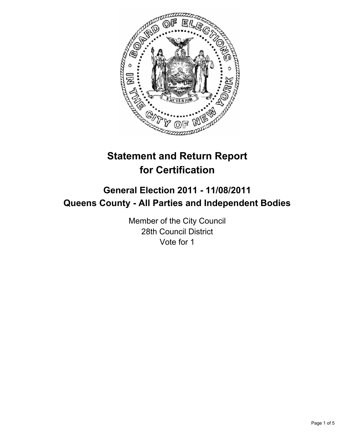

# **Statement and Return Report for Certification**

## **General Election 2011 - 11/08/2011 Queens County - All Parties and Independent Bodies**

Member of the City Council 28th Council District Vote for 1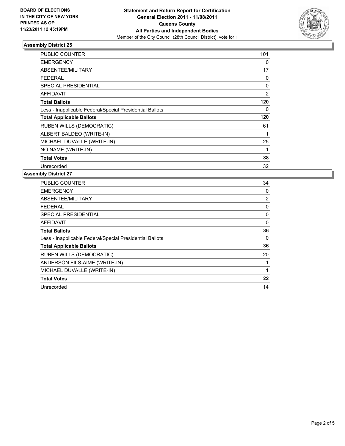

### **Assembly District 25**

| PUBLIC COUNTER                                           | 101            |
|----------------------------------------------------------|----------------|
| <b>EMERGENCY</b>                                         | 0              |
| ABSENTEE/MILITARY                                        | 17             |
| FEDERAL                                                  | 0              |
| <b>SPECIAL PRESIDENTIAL</b>                              | 0              |
| <b>AFFIDAVIT</b>                                         | $\overline{2}$ |
| <b>Total Ballots</b>                                     | 120            |
| Less - Inapplicable Federal/Special Presidential Ballots | 0              |
| <b>Total Applicable Ballots</b>                          | 120            |
| <b>RUBEN WILLS (DEMOCRATIC)</b>                          | 61             |
| ALBERT BALDEO (WRITE-IN)                                 | 1              |
| MICHAEL DUVALLE (WRITE-IN)                               | 25             |
| NO NAME (WRITE-IN)                                       | 1              |
| <b>Total Votes</b>                                       | 88             |
| Unrecorded                                               | 32             |

#### **Assembly District 27**

| <b>PUBLIC COUNTER</b>                                    | 34             |
|----------------------------------------------------------|----------------|
| <b>EMERGENCY</b>                                         | 0              |
| ABSENTEE/MILITARY                                        | $\overline{2}$ |
| FEDERAL                                                  | 0              |
| <b>SPECIAL PRESIDENTIAL</b>                              | 0              |
| AFFIDAVIT                                                | 0              |
| <b>Total Ballots</b>                                     | 36             |
| Less - Inapplicable Federal/Special Presidential Ballots | 0              |
| <b>Total Applicable Ballots</b>                          | 36             |
| <b>RUBEN WILLS (DEMOCRATIC)</b>                          | 20             |
| ANDERSON FILS-AIME (WRITE-IN)                            |                |
| MICHAEL DUVALLE (WRITE-IN)                               |                |
| <b>Total Votes</b>                                       | 22             |
| Unrecorded                                               | 14             |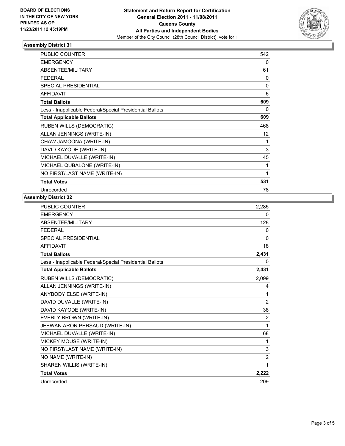

### **Assembly District 31**

| <b>PUBLIC COUNTER</b>                                    | 542 |
|----------------------------------------------------------|-----|
| <b>EMERGENCY</b>                                         | 0   |
| ABSENTEE/MILITARY                                        | 61  |
| <b>FEDERAL</b>                                           | 0   |
| <b>SPECIAL PRESIDENTIAL</b>                              | 0   |
| <b>AFFIDAVIT</b>                                         | 6   |
| <b>Total Ballots</b>                                     | 609 |
| Less - Inapplicable Federal/Special Presidential Ballots | 0   |
| <b>Total Applicable Ballots</b>                          | 609 |
| <b>RUBEN WILLS (DEMOCRATIC)</b>                          | 468 |
| ALLAN JENNINGS (WRITE-IN)                                | 12  |
| CHAW JAMOONA (WRITE-IN)                                  | 1   |
| DAVID KAYODE (WRITE-IN)                                  | 3   |
| MICHAEL DUVALLE (WRITE-IN)                               | 45  |
| MICHAEL QUBALONE (WRITE-IN)                              | 1   |
| NO FIRST/LAST NAME (WRITE-IN)                            | 1   |
| <b>Total Votes</b>                                       | 531 |
| Unrecorded                                               | 78  |

#### **Assembly District 32**

| <b>PUBLIC COUNTER</b>                                    | 2,285          |
|----------------------------------------------------------|----------------|
| <b>EMERGENCY</b>                                         | 0              |
| ABSENTEE/MILITARY                                        | 128            |
| <b>FEDERAL</b>                                           | 0              |
| <b>SPECIAL PRESIDENTIAL</b>                              | $\mathbf{0}$   |
| <b>AFFIDAVIT</b>                                         | 18             |
| <b>Total Ballots</b>                                     | 2,431          |
| Less - Inapplicable Federal/Special Presidential Ballots | 0              |
| <b>Total Applicable Ballots</b>                          | 2,431          |
| RUBEN WILLS (DEMOCRATIC)                                 | 2,099          |
| ALLAN JENNINGS (WRITE-IN)                                | 4              |
| ANYBODY ELSE (WRITE-IN)                                  | 1              |
| DAVID DUVALLE (WRITE-IN)                                 | 2              |
| DAVID KAYODE (WRITE-IN)                                  | 38             |
| EVERLY BROWN (WRITE-IN)                                  | 2              |
| JEEWAN ARON PERSAUD (WRITE-IN)                           | 1              |
| MICHAEL DUVALLE (WRITE-IN)                               | 68             |
| MICKEY MOUSE (WRITE-IN)                                  | 1              |
| NO FIRST/LAST NAME (WRITE-IN)                            | 3              |
| NO NAME (WRITE-IN)                                       | $\overline{2}$ |
| SHAREN WILLIS (WRITE-IN)                                 | 1              |
| <b>Total Votes</b>                                       | 2,222          |
| Unrecorded                                               | 209            |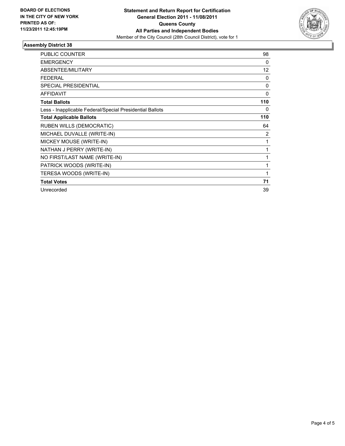

### **Assembly District 38**

| <b>PUBLIC COUNTER</b>                                    | 98       |
|----------------------------------------------------------|----------|
| <b>EMERGENCY</b>                                         | 0        |
| ABSENTEE/MILITARY                                        | 12       |
| <b>FEDERAL</b>                                           | 0        |
| <b>SPECIAL PRESIDENTIAL</b>                              | $\Omega$ |
| <b>AFFIDAVIT</b>                                         | 0        |
| <b>Total Ballots</b>                                     | 110      |
| Less - Inapplicable Federal/Special Presidential Ballots | 0        |
| <b>Total Applicable Ballots</b>                          | 110      |
| RUBEN WILLS (DEMOCRATIC)                                 | 64       |
| MICHAEL DUVALLE (WRITE-IN)                               | 2        |
| MICKEY MOUSE (WRITE-IN)                                  | 1        |
| NATHAN J PERRY (WRITE-IN)                                | 1        |
| NO FIRST/LAST NAME (WRITE-IN)                            | 1        |
| PATRICK WOODS (WRITE-IN)                                 | 1        |
| TERESA WOODS (WRITE-IN)                                  | 1        |
| <b>Total Votes</b>                                       | 71       |
| Unrecorded                                               | 39       |